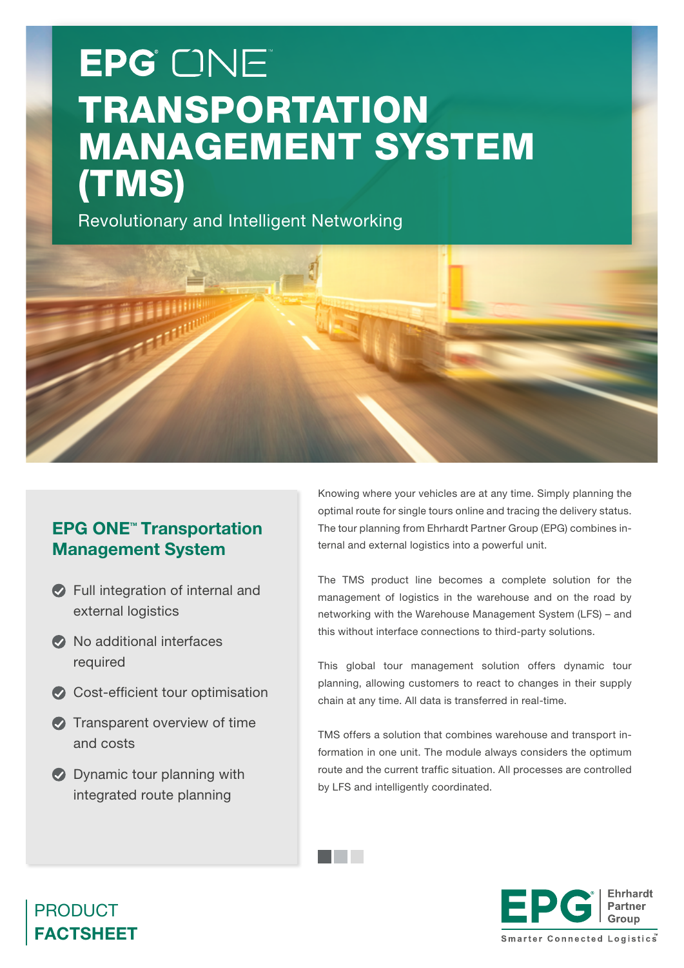# EPG ONE TRANSPORTATION MANAGEMENT SYSTEM (TMS)

Revolutionary and Intelligent Networking



and the control

## **EPG ONE<sup>™</sup> Transportation** Management System

- Full integration of internal and external logistics
- $\bullet$  No additional interfaces required
- Cost-efficient tour optimisation
- **Transparent overview of time** and costs
- **Dynamic tour planning with** integrated route planning

Knowing where your vehicles are at any time. Simply planning the optimal route for single tours online and tracing the delivery status. The tour planning from Ehrhardt Partner Group (EPG) combines internal and external logistics into a powerful unit.

The TMS product line becomes a complete solution for the management of logistics in the warehouse and on the road by networking with the Warehouse Management System (LFS) – and this without interface connections to third-party solutions.

This global tour management solution offers dynamic tour planning, allowing customers to react to changes in their supply chain at any time. All data is transferred in real-time.

TMS offers a solution that combines warehouse and transport information in one unit. The module always considers the optimum route and the current traffic situation. All processes are controlled by LFS and intelligently coordinated.



## PRODUCT FACTSHEET